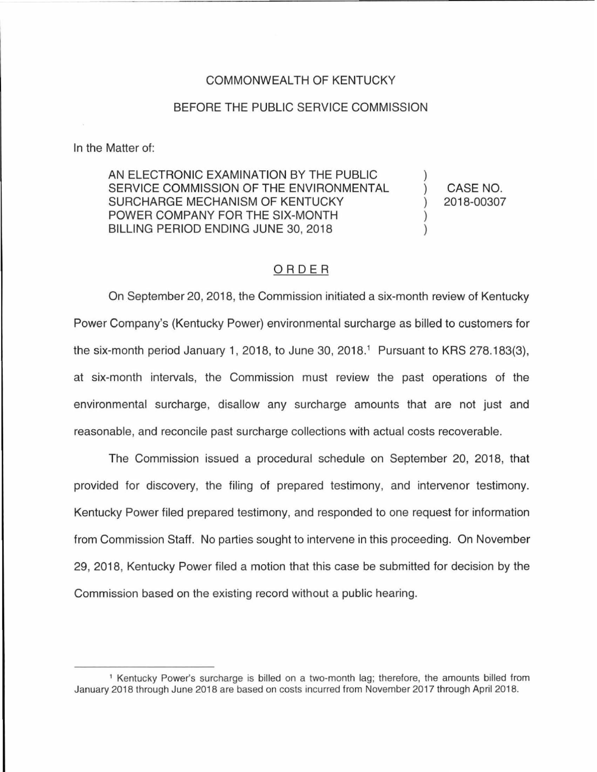### COMMONWEALTH OF KENTUCKY

#### BEFORE THE PUBLIC SERVICE COMMISSION

In the Matter of:

AN ELECTRONIC EXAMINATION BY THE PUBLIC SERVICE COMMISSION OF THE ENVIRONMENTAL SURCHARGE MECHANISM OF KENTUCKY POWER COMPANY FOR THE SIX-MONTH BILLING PERIOD ENDING JUNE 30, 2018

CASE NO. 2018-00307

### ORDER

On September 20, 2018, the Commission initiated a six-month review of Kentucky Power Company's (Kentucky Power) environmental surcharge as billed to customers for the six-month period January 1, 2018, to June 30, 2018.<sup>1</sup> Pursuant to KRS 278.183(3), at six-month intervals, the Commission must review the past operations of the environmental surcharge, disallow any surcharge amounts that are not just and reasonable, and reconcile past surcharge collections with actual costs recoverable.

The Commission issued a procedural schedule on September 20, 2018, that provided for discovery, the filing of prepared testimony, and intervenor testimony. Kentucky Power filed prepared testimony, and responded to one request for information from Commission Staff. No parties sought to intervene in this proceeding. On November 29, 2018, Kentucky Power filed a motion that this case be submitted for decision by the Commission based on the existing record without a public hearing.

<sup>1</sup>Kentucky Power's surcharge is billed on a two-month lag; therefore, the amounts billed from January 2018 through June 2018 are based on costs incurred from November 2017 through April 2018.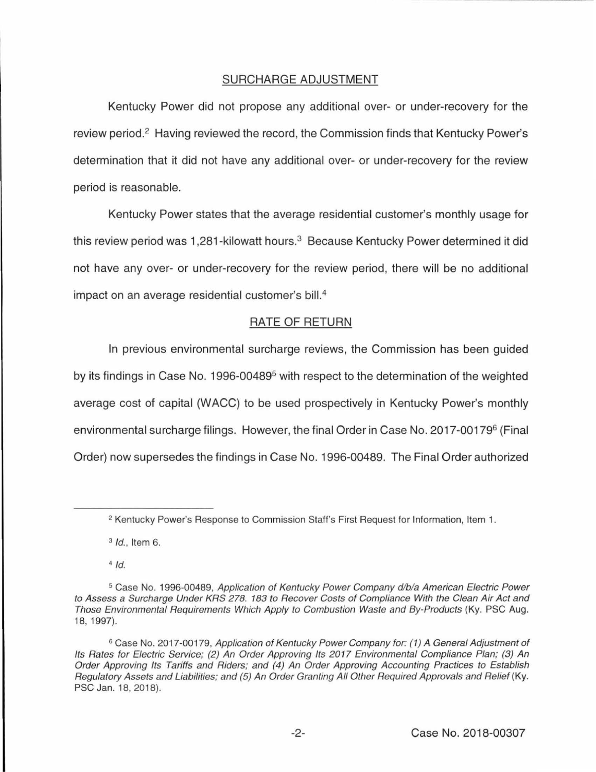# SURCHARGE ADJUSTMENT

Kentucky Power did not propose any additional over- or under-recovery for the review period.<sup>2</sup> Having reviewed the record, the Commission finds that Kentucky Power's determination that it did not have any additional over- or under-recovery for the review period is reasonable.

Kentucky Power states that the average residential customer's monthly usage for this review period was 1,281-kilowatt hours.<sup>3</sup> Because Kentucky Power determined it did not have any over- or under-recovery for the review period, there will be no additional impact on an average residential customer's bill.<sup>4</sup>

# RATE OF RETURN

In previous environmental surcharge reviews, the Commission has been guided by its findings in Case No. 1996-00489<sup>5</sup> with respect to the determination of the weighted average cost of capital (WACC) to be used prospectively in Kentucky Power's monthly environmental surcharge filings. However, the final Order in Case No. 2017-00179<sup>6</sup> (Final Order) now supersedes the findings in Case No. 1996-00489. The Final Order authorized

 $3$  *Id.*, Item 6.

 $4$  Id.

<sup>&</sup>lt;sup>2</sup> Kentucky Power's Response to Commission Staff's First Request for Information, Item 1.

<sup>&</sup>lt;sup>5</sup> Case No. 1996-00489, Application of Kentucky Power Company d/b/a American Electric Power to Assess a Surcharge Under KRS 278. 183 to Recover Costs of Compliance With the Clean Air Act and Those Environmental Requirements Which Apply to Combustion Waste and By-Products (Ky. PSC Aug. 18, 1997).

<sup>&</sup>lt;sup>6</sup> Case No. 2017-00179, Application of Kentucky Power Company for: (1) A General Adjustment of Its Rates for Electric Service; (2) An Order Approving Its 2017 Environmental Compliance Plan; (3) An Order Approving Its Tariffs and Riders; and (4) An Order Approving Accounting Practices to Establish Regulatory Assets and Liabilities; and (5) An Order Granting All Other Required Approvals and Relief (Ky. PSC Jan. 18, 2018).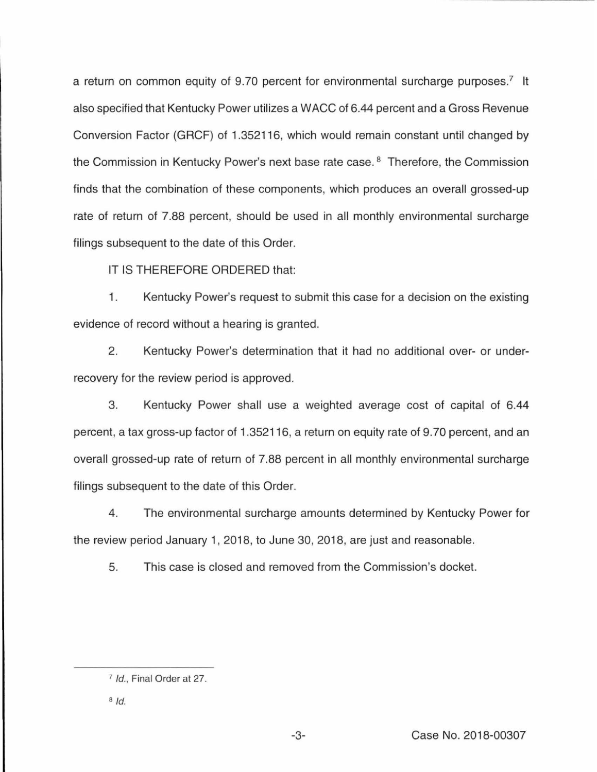a return on common equity of 9.70 percent for environmental surcharge purposes.<sup>7</sup> It also specified that Kentucky Power utilizes a WACC of 6.44 percent and a Gross Revenue Conversion Factor (GRCF) of 1.352116, which would remain constant until changed by the Commission in Kentucky Power's next base rate case. 8 Therefore, the Commission finds that the combination of these components, which produces an overall grossed-up rate of return of 7.88 percent, should be used in all monthly environmental surcharge filings subsequent to the date of this Order.

IT IS THEREFORE ORDERED that:

1. Kentucky Power's request to submit this case for a decision on the existing evidence of record without a hearing is granted.

2. Kentucky Power's determination that it had no additional over- or underrecovery for the review period is approved.

3. Kentucky Power shall use a weighted average cost of capital of 6.44 percent, a tax gross-up factor of 1.352116, a return on equity rate of 9. 70 percent, and an overall grossed-up rate of return of 7.88 percent in all monthly environmental surcharge filings subsequent to the date of this Order.

4. The environmental surcharge amounts determined by Kentucky Power for the review period January 1, 2018, to June 30, 2018, are just and reasonable.

5. This case is closed and removed from the Commission's docket.

<sup>7</sup>Id., Final Order at 27.

 $8$ Id.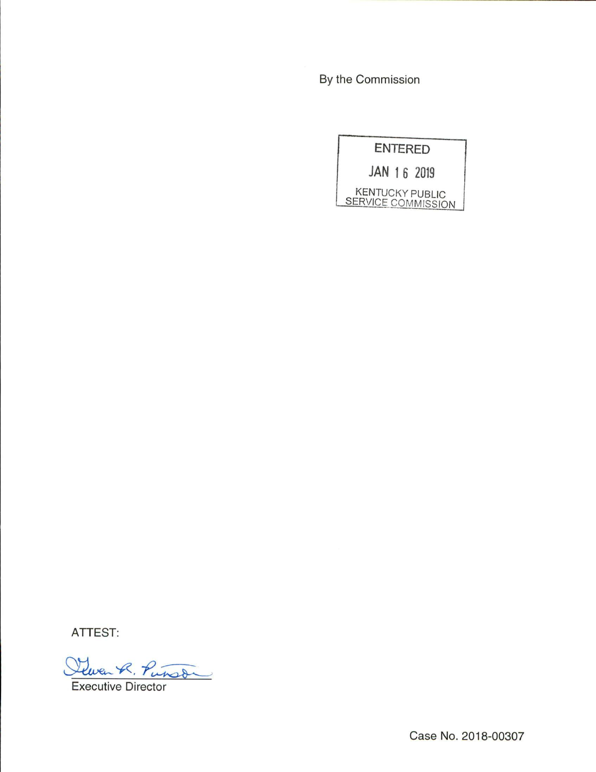By the Commission



ATTEST:

Lewen R. Punson

Executive Director

Case No. 2018-00307